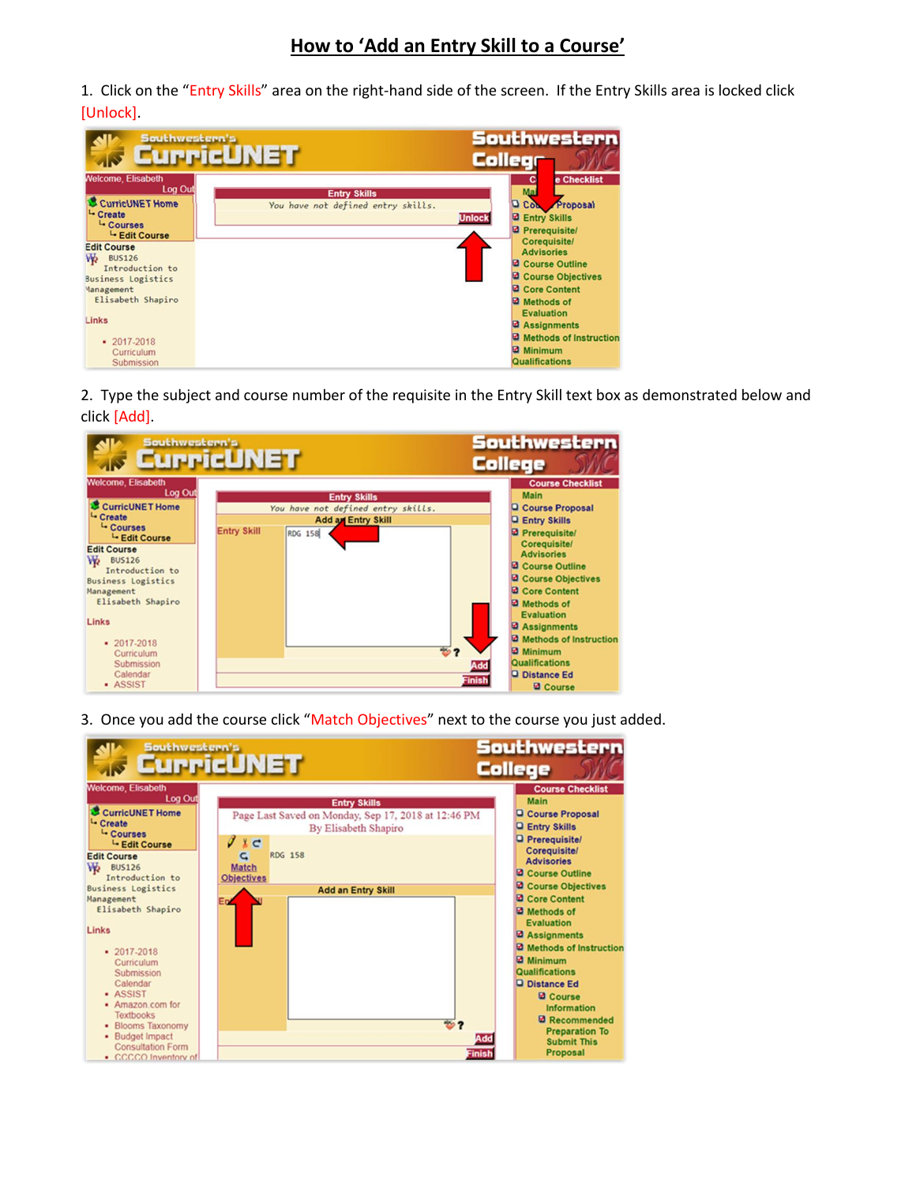1. Click on the "Entry Skills" area on the right-hand side of the screen. If the Entry Skills area is locked click [Unlock].



2. Type the subject and course number of the requisite in the Entry Skill text box as demonstrated below and click [Add].



3. Once you add the course click "Match Objectives" next to the course you just added.

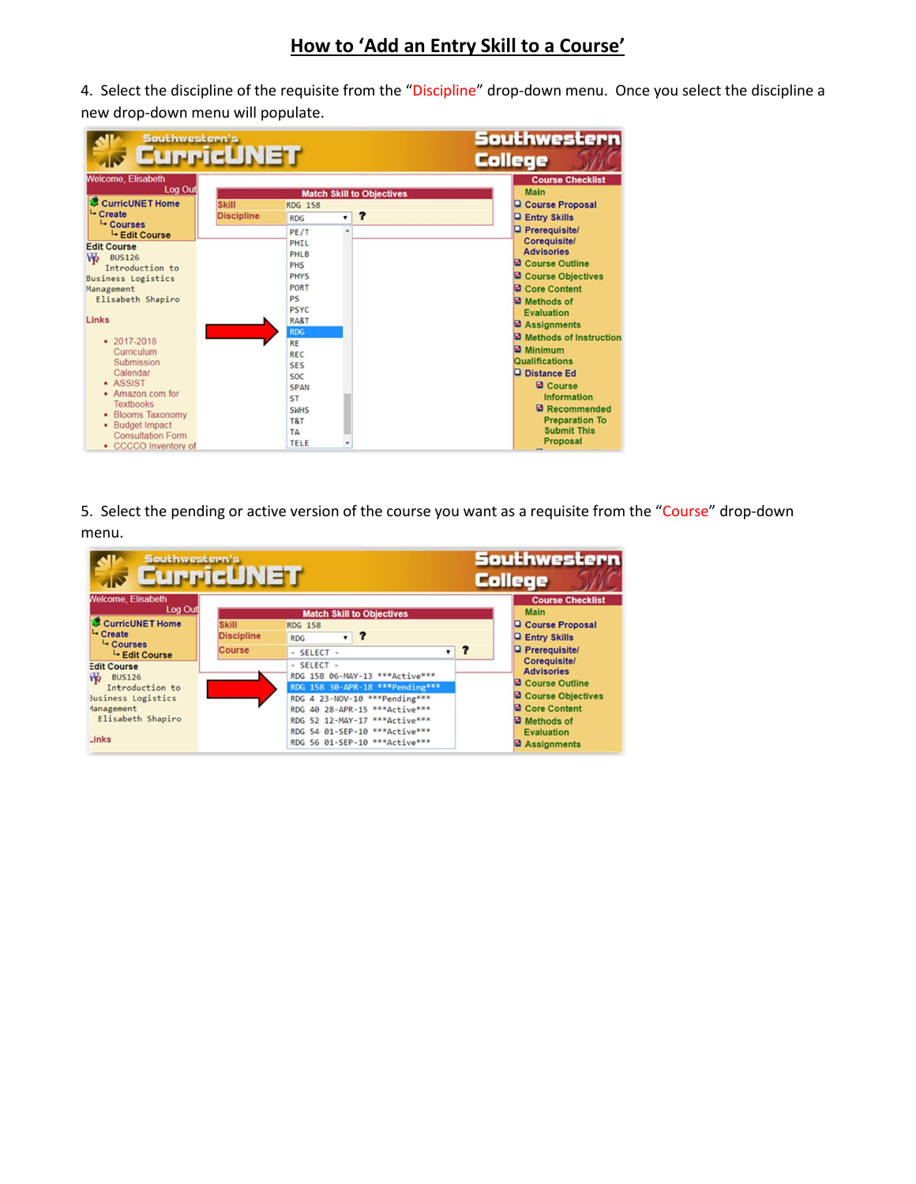## **How to 'Add an Entry Skill to a Course'**

4. Select the discipline of the requisite from the "Discipline" drop-down menu. Once you select the discipline a new drop-down menu will populate.

| Southwestern's                                                                                                                                                                                                                                                                                                                                                                      | <b>CurricUNET</b>                 |                                                                                                                                                                                                                                                          |                                       | Southwestern<br><b>College</b>                                                                                                                                                                                                                                                                                                                                                                 |
|-------------------------------------------------------------------------------------------------------------------------------------------------------------------------------------------------------------------------------------------------------------------------------------------------------------------------------------------------------------------------------------|-----------------------------------|----------------------------------------------------------------------------------------------------------------------------------------------------------------------------------------------------------------------------------------------------------|---------------------------------------|------------------------------------------------------------------------------------------------------------------------------------------------------------------------------------------------------------------------------------------------------------------------------------------------------------------------------------------------------------------------------------------------|
| <b>Welcome, Elisabeth</b><br>Log Out<br>CurricUNET Home<br>L- Create                                                                                                                                                                                                                                                                                                                | <b>Skill</b><br><b>Discipline</b> | <b>RDG 158</b><br>$\mathbf{v}$<br><b>RDG</b>                                                                                                                                                                                                             | <b>Match Skill to Objectives</b><br>? | <b>Course Checklist</b><br><b>Main</b><br>Course Proposal<br><b>Q Entry Skills</b>                                                                                                                                                                                                                                                                                                             |
| L- Courses<br>L- Edit Course<br><b>Edit Course</b><br>₩<br><b>BUS126</b><br>Introduction to<br><b>Business Logistics</b><br>Management<br>Elisabeth Shapiro<br>Links<br>$-2017 - 2018$<br>Curriculum<br>Submission<br>Calendar<br><b>ASSIST</b><br>• Amazon com for<br><b>Textbooks</b><br>• Blooms Taxonomy<br>· Budget Impact<br><b>Consultation Form</b><br>• CCCCO Inventory of |                                   | PE/T<br>$\overline{a}$<br>PHTL<br><b>PHLB</b><br><b>PHS</b><br><b>PHYS</b><br>PORT<br>PS<br><b>PSYC</b><br><b>RA&amp;T</b><br><b>RDG</b><br><b>RE</b><br>REC<br><b>SES</b><br><b>SOC</b><br><b>SPAN</b><br>ST<br><b>SWHS</b><br>T&T<br>TA<br><b>TELE</b> |                                       | <b>Prerequisite/</b><br>Coreguisite/<br><b>Advisories</b><br>Course Outline<br>Course Objectives<br>Core Content<br>Methods of<br><b>Evaluation</b><br><b>Assignments</b><br>Methods of Instruction<br><b>Minimum</b><br><b>Qualifications</b><br><b>Q</b> Distance Ed<br><b>Q</b> Course<br><b>Information</b><br>Recommended<br><b>Preparation To</b><br><b>Submit This</b><br>Proposal<br>- |

5. Select the pending or active version of the course you want as a requisite from the "Course" drop-down menu.

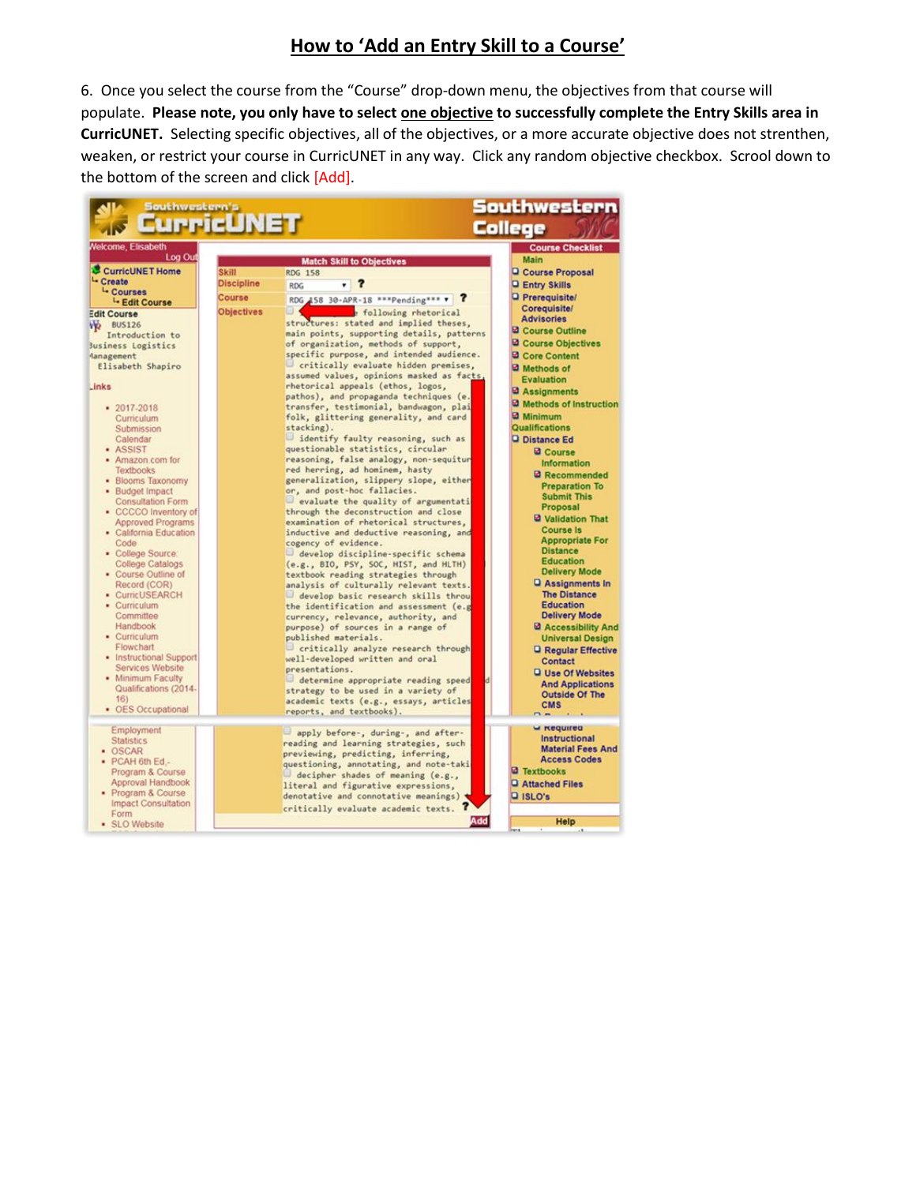## **How to 'Add an Entry Skill to a Course'**

6. Once you select the course from the "Course" drop-down menu, the objectives from that course will populate. Please note, you only have to select **one objective** to successfully complete the Entry Skills area in **CurricUNET.** Selecting specific objectives, all of the objectives, or a more accurate objective does not strenthen, weaken, or restrict your course in CurricUNET in any way. Click any random objective checkbox. Scrool down to the bottom of the screen and click [Add].

| Southwestern's                      |                   |                                                                               | outhwestern                               |
|-------------------------------------|-------------------|-------------------------------------------------------------------------------|-------------------------------------------|
|                                     | urricUNET         |                                                                               | College                                   |
| <b>Welcome, Elisabeth</b>           |                   |                                                                               | <b>Course Checklist</b>                   |
| Log Out                             |                   | <b>Match Skill to Objectives</b>                                              | <b>Main</b>                               |
| CurricUNET Home                     | Skill             | <b>RDG 158</b>                                                                | Course Proposal                           |
| <sup>L</sup> - Create               | <b>Discipline</b> | <b>RDG</b>                                                                    | <b>Q Entry Skills</b>                     |
| <sup>L</sup> Courses                | Course            | RDG 458 30-APR-18 ***Pending*** *                                             | <b>Q</b> Prerequisite/                    |
| <sup>L</sup> - Edit Course          | <b>Objectives</b> | e following rhetorical                                                        | Corequisite/                              |
| <b>Edit Course</b>                  |                   | structures: stated and implied theses,                                        | <b>Advisories</b>                         |
| VO BUS126<br>Introduction to        |                   | main points, supporting details, patterns                                     | Course Outline                            |
| Business Logistics                  |                   | of organization, methods of support,                                          | Course Objectives                         |
| danagement                          |                   | specific purpose, and intended audience.                                      | Core Content                              |
| Elisabeth Shapiro                   |                   | critically evaluate hidden premises,                                          | Methods of                                |
|                                     |                   | assumed values, opinions masked as facts,                                     | Evaluation                                |
| Links                               |                   | rhetorical appeals (ethos, logos,                                             | <b>B</b> Assignments                      |
|                                     |                   | pathos), and propaganda techniques (e.                                        |                                           |
| $-2017 - 2018$                      |                   | transfer, testimonial, bandwagon, plai                                        | Methods of Instruction                    |
| Curriculum                          |                   | folk, glittering generality, and card                                         | <b>2</b> Minimum                          |
| Submission                          |                   | stacking).                                                                    | Qualifications                            |
| Calendar<br>· ASSIST                |                   | identify faulty reasoning, such as<br>questionable statistics, circular       | <b>Q</b> Distance Ed                      |
| · Amazon.com for                    |                   | reasoning, false analogy, non-sequitur                                        | <b>Q</b> Course                           |
| <b>Textbooks</b>                    |                   | red herring, ad hominem, hasty                                                | <b>Information</b>                        |
| · Blooms Taxonomy                   |                   | generalization, slippery slope, either                                        | <b>2</b> Recommended                      |
| · Budget Impact                     |                   | or, and post-hoc fallacies.                                                   | <b>Preparation To</b>                     |
| <b>Consultation Form</b>            |                   | evaluate the quality of argumentati                                           | <b>Submit This</b>                        |
| - CCCCO Inventory of                |                   | through the deconstruction and close                                          | Proposal                                  |
| <b>Approved Programs</b>            |                   | examination of rhetorical structures,                                         | <b>2 Validation That</b>                  |
| • California Education              |                   | inductive and deductive reasoning, and                                        | <b>Course Is</b>                          |
| Code                                |                   | cogency of evidence.                                                          | <b>Appropriate For</b><br><b>Distance</b> |
| · College Source:                   |                   | develop discipline-specific schema                                            | <b>Education</b>                          |
| <b>College Catalogs</b>             |                   | (e.g., BIO, PSY, SOC, HIST, and HLTH)                                         | <b>Delivery Mode</b>                      |
| • Course Outline of<br>Record (COR) |                   | textbook reading strategies through                                           | <b>Q</b> Assignments In                   |
| - CurricUSEARCH                     |                   | analysis of culturally relevant texts.<br>develop basic research skills throu | <b>The Distance</b>                       |
| · Curriculum                        |                   | the identification and assessment (e.g                                        | <b>Education</b>                          |
| Committee                           |                   | currency, relevance, authority, and                                           | <b>Delivery Mode</b>                      |
| Handbook                            |                   | purpose) of sources in a range of                                             | <b>Q</b> Accessibility And                |
| • Curriculum                        |                   | published materials.                                                          | <b>Universal Design</b>                   |
| Flowchart                           |                   | critically analyze research through                                           | <b>Q</b> Regular Effective                |
| · Instructional Support             |                   | well-developed written and oral                                               | Contact                                   |
| Services Website                    |                   | presentations.                                                                | <b>Q</b> Use Of Websites                  |
| • Minimum Faculty                   |                   | determine appropriate reading speed                                           | <b>And Applications</b>                   |
| Qualifications (2014-               |                   | strategy to be used in a variety of                                           | <b>Outside Of The</b>                     |
| 16<br>• OES Occupational            |                   | academic texts (e.g., essays, articles                                        | <b>CMS</b>                                |
|                                     |                   | reports, and textbooks).                                                      | $m -$                                     |
| Employment                          |                   |                                                                               | w <i><b>Required</b></i>                  |
| <b>Statistics</b>                   |                   | apply before-, during-, and after-<br>reading and learning strategies, such   | Instructional                             |
| · OSCAR                             |                   | previewing, predicting, inferring,                                            | <b>Material Fees And</b>                  |
| · PCAH 6th Ed.-                     |                   | questioning, annotating, and note-taki                                        | <b>Access Codes</b>                       |
| Program & Course                    |                   | decipher shades of meaning (e.g.,                                             | <b>d</b> Textbooks                        |
| Approval Handbook                   |                   | literal and figurative expressions,                                           | <b>Q</b> Attached Files                   |
| · Program & Course                  |                   | denotative and connotative meanings)                                          | <b>Q</b> ISLO's                           |
| <b>Impact Consultation</b>          |                   | critically evaluate academic texts.                                           |                                           |
| Form                                |                   | Add                                                                           | <b>Help</b>                               |
| · SLO Website                       |                   |                                                                               |                                           |